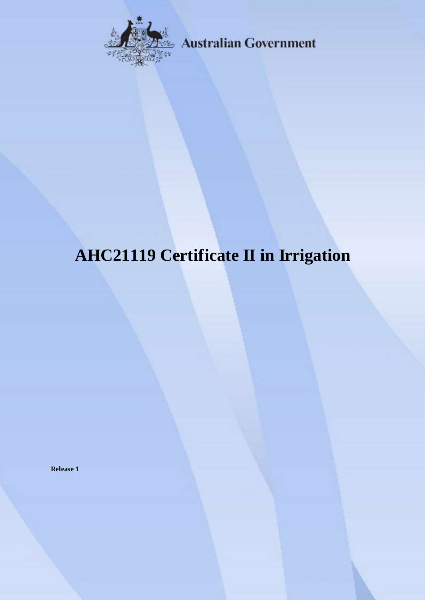

**Australian Government** 

# **AHC21119 Certificate II in Irrigation**

**Release 1**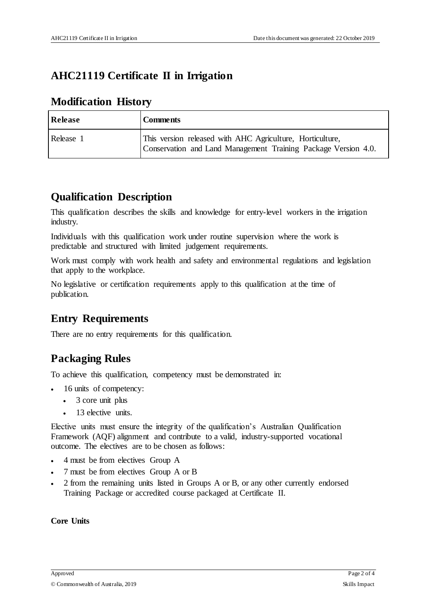# **AHC21119 Certificate II in Irrigation**

## **Modification History**

| Release   | <b>Comments</b>                                                                                                             |
|-----------|-----------------------------------------------------------------------------------------------------------------------------|
| Release 1 | This version released with AHC Agriculture, Horticulture,<br>Conservation and Land Management Training Package Version 4.0. |

## **Qualification Description**

This qualification describes the skills and knowledge for entry-level workers in the irrigation industry.

Individuals with this qualification work under routine supervision where the work is predictable and structured with limited judgement requirements.

Work must comply with work health and safety and environmental regulations and legislation that apply to the workplace.

No legislative or certification requirements apply to this qualification at the time of publication.

## **Entry Requirements**

There are no entry requirements for this qualification.

## **Packaging Rules**

To achieve this qualification, competency must be demonstrated in:

- 16 units of competency:
	- 3 core unit plus
	- 13 elective units.

Elective units must ensure the integrity of the qualification's Australian Qualification Framework (AQF) alignment and contribute to a valid, industry-supported vocational outcome. The electives are to be chosen as follows:

- 4 must be from electives Group A
- 7 must be from electives Group A or B
- 2 from the remaining units listed in Groups A or B, or any other currently endorsed Training Package or accredited course packaged at Certificate II.

#### **Core Units**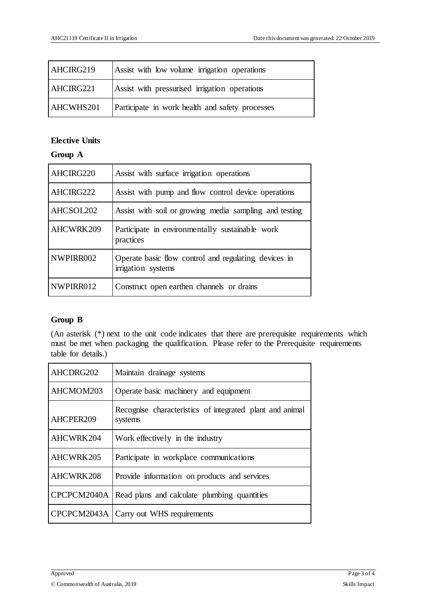| AHCIRG219        | Assist with low volume irrigation operations    |
|------------------|-------------------------------------------------|
| AHCIRG221        | Assist with pressurised irrigation operations   |
| <b>AHCWHS201</b> | Participate in work health and safety processes |

#### **Elective Units**

#### **Group A**

| AHCIRG220 | Assist with surface irrigation operations                                  |  |  |  |
|-----------|----------------------------------------------------------------------------|--|--|--|
| AHCIRG222 | Assist with pump and flow control device operations                        |  |  |  |
| AHCSOL202 | Assist with soil or growing media sampling and testing                     |  |  |  |
| AHCWRK209 | Participate in environmentally sustainable work<br>practices               |  |  |  |
| NWPIRR002 | Operate basic flow control and regulating devices in<br>irrigation systems |  |  |  |
| NWPIRR012 | Construct open earthen channels or drains                                  |  |  |  |

#### **Group B**

(An asterisk (\*) next to the unit code indicates that there are prerequisite requirements which must be met when packaging the qualification. Please refer to the Prerequisite requirements table for details.)

| AHCDRG202   | Maintain drainage systems                                           |  |  |  |
|-------------|---------------------------------------------------------------------|--|--|--|
| AHCMOM203   | Operate basic machinery and equipment                               |  |  |  |
| AHCPER209   | Recognise characteristics of integrated plant and animal<br>systems |  |  |  |
| AHCWRK204   | Work effectively in the industry                                    |  |  |  |
| AHCWRK205   | Participate in workplace communications                             |  |  |  |
| AHCWRK208   | Provide information on products and services                        |  |  |  |
| CPCPCM2040A | Read plans and calculate plumbing quantities                        |  |  |  |
|             | CPCPCM2043A   Carry out WHS requirements                            |  |  |  |